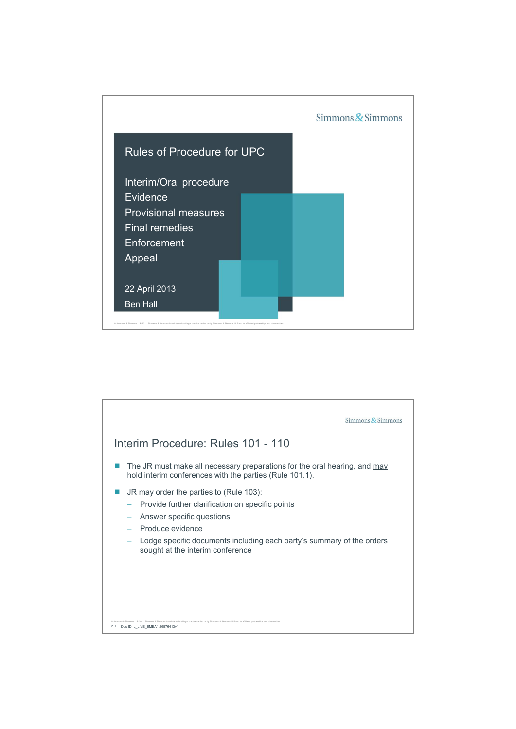

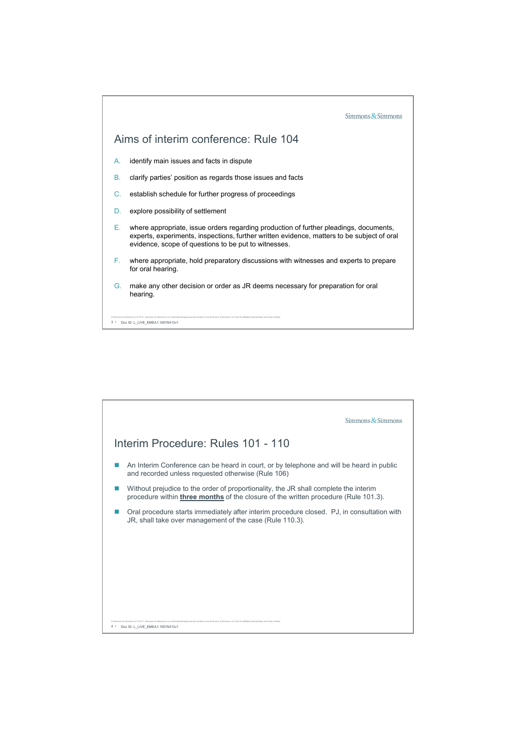

| $Simmons$ Simmons                                                                                                                                                                     |  |  |  |  |
|---------------------------------------------------------------------------------------------------------------------------------------------------------------------------------------|--|--|--|--|
| Interim Procedure: Rules 101 - 110                                                                                                                                                    |  |  |  |  |
|                                                                                                                                                                                       |  |  |  |  |
| An Interim Conference can be heard in court, or by telephone and will be heard in public<br>and recorded unless requested otherwise (Rule 106)                                        |  |  |  |  |
| Without prejudice to the order of proportionality, the JR shall complete the interim<br>procedure within <b>three months</b> of the closure of the written procedure (Rule 101.3).    |  |  |  |  |
| Oral procedure starts immediately after interim procedure closed. PJ, in consultation with<br>JR, shall take over management of the case (Rule 110.3).                                |  |  |  |  |
|                                                                                                                                                                                       |  |  |  |  |
|                                                                                                                                                                                       |  |  |  |  |
|                                                                                                                                                                                       |  |  |  |  |
|                                                                                                                                                                                       |  |  |  |  |
|                                                                                                                                                                                       |  |  |  |  |
|                                                                                                                                                                                       |  |  |  |  |
|                                                                                                                                                                                       |  |  |  |  |
|                                                                                                                                                                                       |  |  |  |  |
|                                                                                                                                                                                       |  |  |  |  |
|                                                                                                                                                                                       |  |  |  |  |
|                                                                                                                                                                                       |  |  |  |  |
| Simmons & Simmons is an international legal practice carried on by Simmons & Simmons LLP and its affiliated partnerships and other entities<br>Doc ID: L LIVE EMEA1:16576413v1<br>4 / |  |  |  |  |
|                                                                                                                                                                                       |  |  |  |  |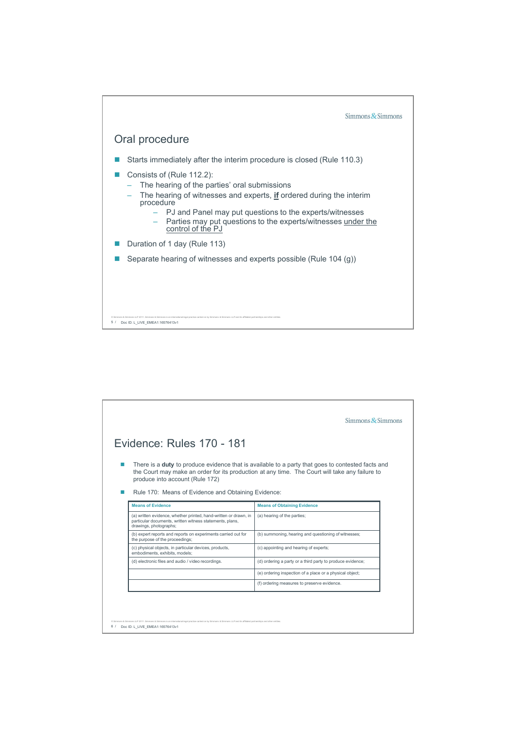

|                                                                                                                                                        | $Simmons$ Simmons                                                                                                                                                                                   |  |
|--------------------------------------------------------------------------------------------------------------------------------------------------------|-----------------------------------------------------------------------------------------------------------------------------------------------------------------------------------------------------|--|
| Evidence: Rules 170 - 181                                                                                                                              |                                                                                                                                                                                                     |  |
| produce into account (Rule 172)<br>Rule 170: Means of Evidence and Obtaining Evidence:                                                                 | There is a duty to produce evidence that is available to a party that goes to contested facts and<br>the Court may make an order for its production at any time. The Court will take any failure to |  |
| <b>Means of Evidence</b>                                                                                                                               | <b>Means of Obtaining Evidence</b>                                                                                                                                                                  |  |
| (a) written evidence, whether printed, hand-written or drawn, in<br>particular documents, written witness statements, plans,<br>drawings, photographs; | (a) hearing of the parties;                                                                                                                                                                         |  |
| (b) expert reports and reports on experiments carried out for<br>the purpose of the proceedings;                                                       | (b) summoning, hearing and questioning of witnesses;                                                                                                                                                |  |
| (c) physical objects, in particular devices, products,<br>embodiments, exhibits, models:                                                               | (c) appointing and hearing of experts;                                                                                                                                                              |  |
| (d) electronic files and audio / video recordings.                                                                                                     | (d) ordering a party or a third party to produce evidence;                                                                                                                                          |  |
|                                                                                                                                                        | (e) ordering inspection of a place or a physical object;                                                                                                                                            |  |
|                                                                                                                                                        | (f) ordering measures to preserve evidence.                                                                                                                                                         |  |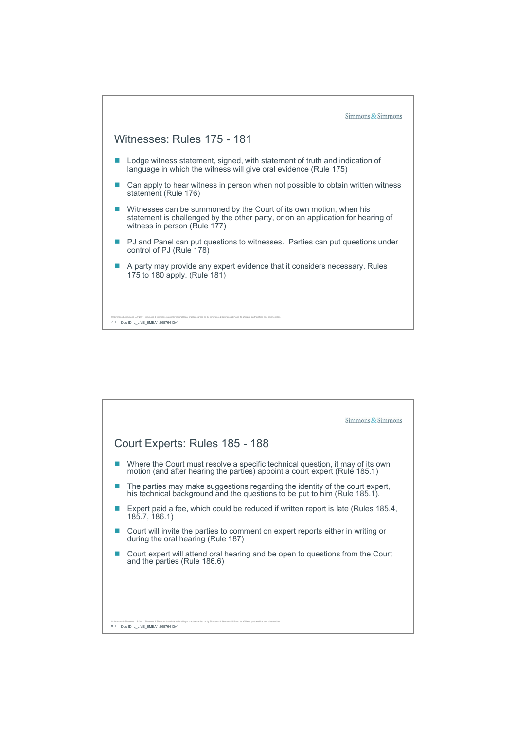

| $Simmons$ Simmons                                                                                                                                                                                                  |
|--------------------------------------------------------------------------------------------------------------------------------------------------------------------------------------------------------------------|
| Court Experts: Rules 185 - 188                                                                                                                                                                                     |
| Where the Court must resolve a specific technical question, it may of its own<br>motion (and after hearing the parties) appoint a court expert (Rule 185.1)                                                        |
| The parties may make suggestions regarding the identity of the court expert,<br>his technical background and the questions to be put to him (Rule 185.1).                                                          |
| Expert paid a fee, which could be reduced if written report is late (Rules 185.4,<br>185.7, 186.1)                                                                                                                 |
| Court will invite the parties to comment on expert reports either in writing or<br>during the oral hearing (Rule 187)                                                                                              |
| Court expert will attend oral hearing and be open to questions from the Court<br>and the parties (Rule 186.6)                                                                                                      |
|                                                                                                                                                                                                                    |
|                                                                                                                                                                                                                    |
| C Simmons & Simmons LLP 2011. Simmons & Simmons is an international legal practice carried on by Simmons & Simmons LLP and its affiliated partnerships and other entities<br>Doc ID: L LIVE EMEA1:16576413v1<br>81 |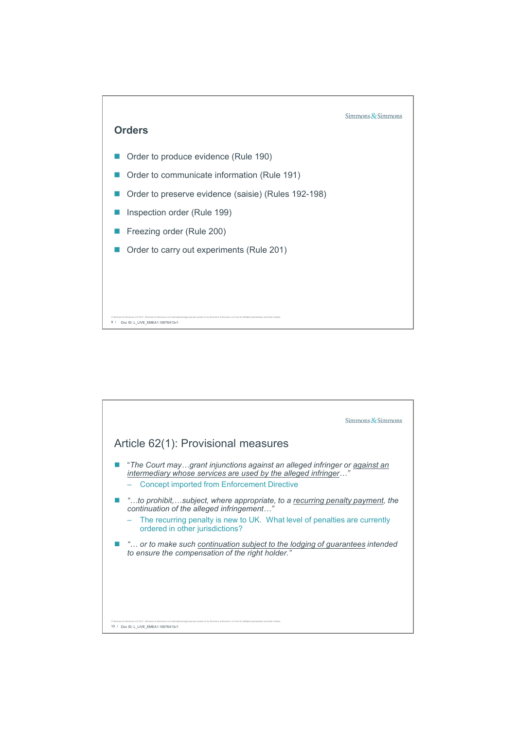![](_page_4_Figure_0.jpeg)

![](_page_4_Figure_1.jpeg)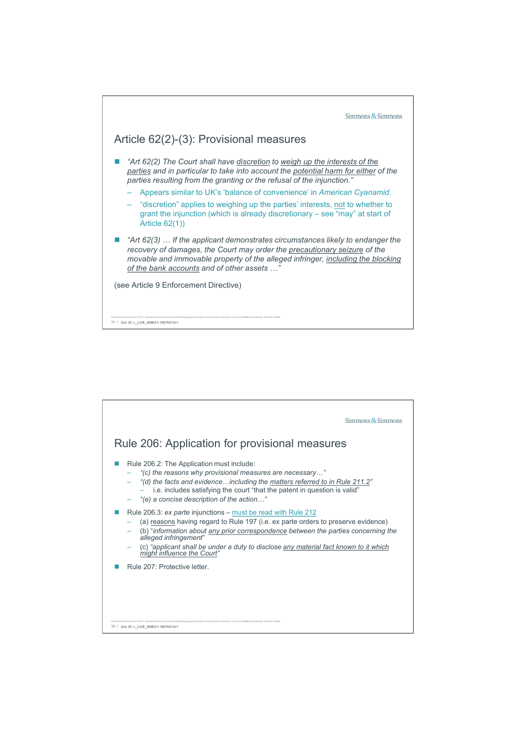![](_page_5_Figure_0.jpeg)

![](_page_5_Figure_1.jpeg)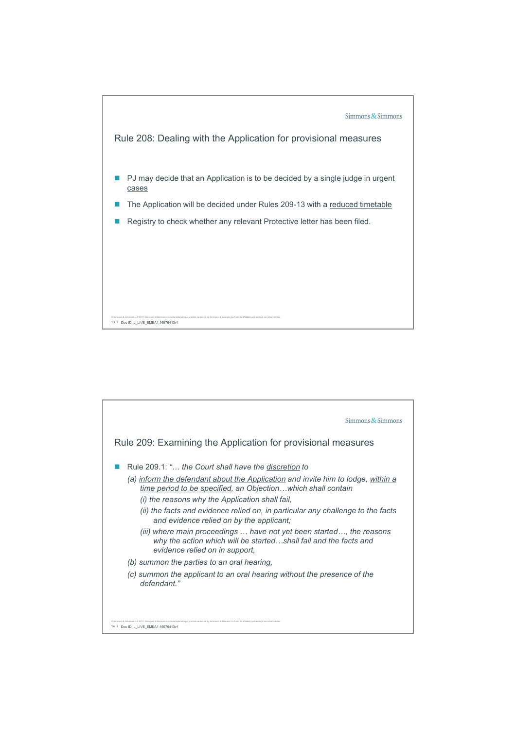![](_page_6_Figure_0.jpeg)

![](_page_6_Figure_1.jpeg)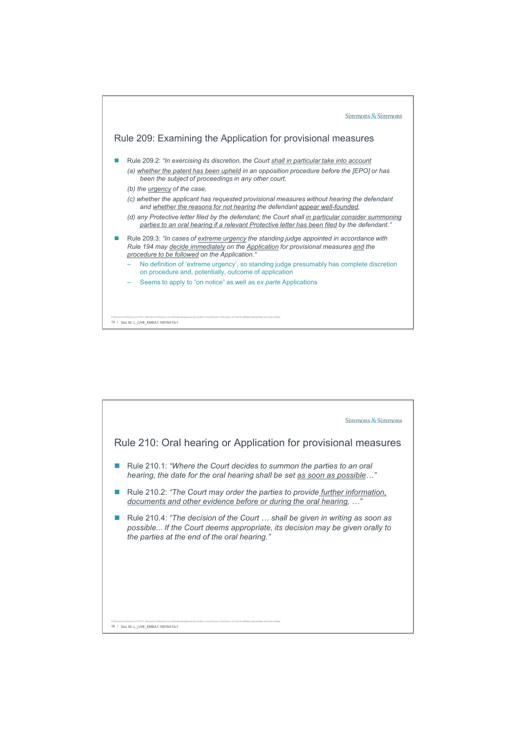![](_page_7_Figure_0.jpeg)

| $Simmons$ Simmons                                                                                                                                                                                            |  |
|--------------------------------------------------------------------------------------------------------------------------------------------------------------------------------------------------------------|--|
| Rule 210: Oral hearing or Application for provisional measures                                                                                                                                               |  |
| Rule 210.1: "Where the Court decides to summon the parties to an oral<br>hearing, the date for the oral hearing shall be set as soon as possible"                                                            |  |
| Rule 210.2: "The Court may order the parties to provide further information.<br>documents and other evidence before or during the oral hearing,                                                              |  |
| Rule 210.4: "The decision of the Court  shall be given in writing as soon as<br>possible If the Court deems appropriate, its decision may be given orally to<br>the parties at the end of the oral hearing." |  |
|                                                                                                                                                                                                              |  |
| ns & Simmons LLP 2011. Simmons & Simmons is an international legal practice carried on by Simmons & Simmons LLP and its affiliated partnerships and other entities<br>16 / Doc ID: L LIVE EMEA1:16576413v1   |  |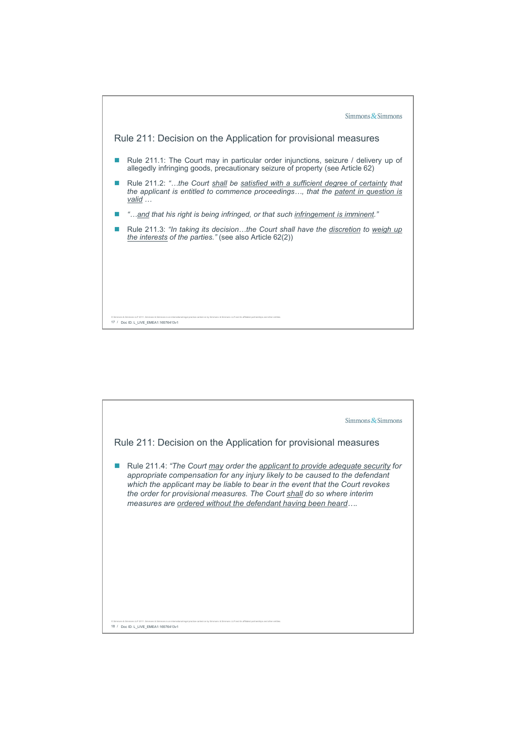![](_page_8_Figure_0.jpeg)

| $Simmons$ Simmons                                                                                                                                                                                                                                                                                                                                                                           |
|---------------------------------------------------------------------------------------------------------------------------------------------------------------------------------------------------------------------------------------------------------------------------------------------------------------------------------------------------------------------------------------------|
| Rule 211: Decision on the Application for provisional measures                                                                                                                                                                                                                                                                                                                              |
| Rule 211.4: "The Court may order the applicant to provide adequate security for<br>appropriate compensation for any injury likely to be caused to the defendant<br>which the applicant may be liable to bear in the event that the Court revokes<br>the order for provisional measures. The Court shall do so where interim<br>measures are ordered without the defendant having been heard |
| C Simmons & Simmons LLP 2011. Simmons & Simmons is an international legal practice carried on by Simmons & Simmons LLP and its affiliated partnerships and other entities<br>18 / Doc ID: L LIVE EMEA1:16576413v1                                                                                                                                                                           |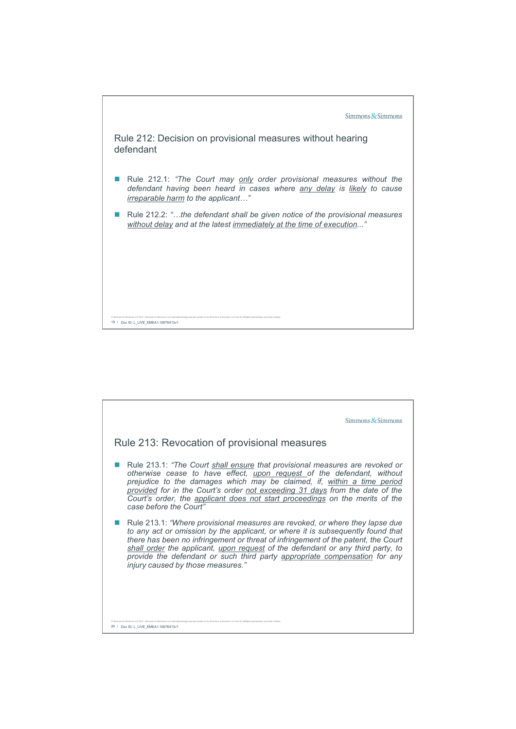![](_page_9_Figure_0.jpeg)

![](_page_9_Figure_1.jpeg)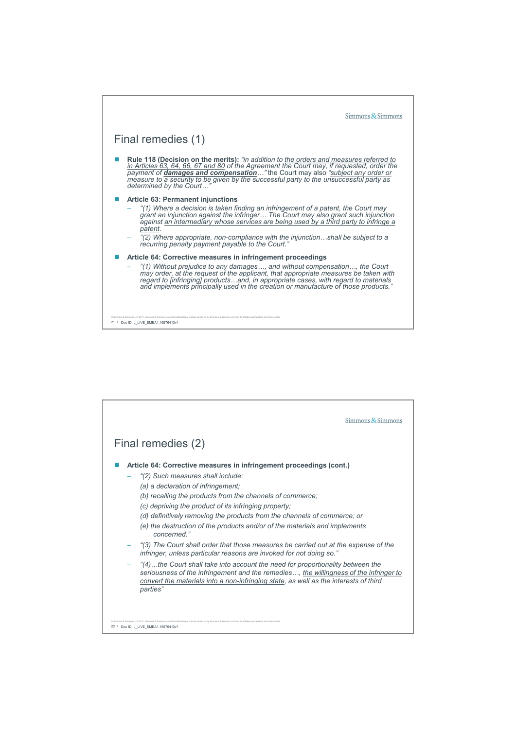![](_page_10_Figure_0.jpeg)

| $Simmons$ Simmons                                                                                                                                                                                                                                                                                                                                                                                                                            |
|----------------------------------------------------------------------------------------------------------------------------------------------------------------------------------------------------------------------------------------------------------------------------------------------------------------------------------------------------------------------------------------------------------------------------------------------|
| Final remedies (2)                                                                                                                                                                                                                                                                                                                                                                                                                           |
| Article 64: Corrective measures in infringement proceedings (cont.)<br>"(2) Such measures shall include:<br>(a) a declaration of infringement;<br>(b) recalling the products from the channels of commerce;<br>(c) depriving the product of its infringing property;<br>(d) definitively removing the products from the channels of commerce; or<br>(e) the destruction of the products and/or of the materials and implements<br>concerned" |
| "(3) The Court shall order that those measures be carried out at the expense of the<br>infringer, unless particular reasons are invoked for not doing so."                                                                                                                                                                                                                                                                                   |
| "(4)the Court shall take into account the need for proportionality between the<br>seriousness of the infringement and the remedies, the willingness of the infringer to<br>convert the materials into a non-infringing state, as well as the interests of third<br>parties"                                                                                                                                                                  |
| C Simmons & Simmons LLP 2011. Simmons & Simmons is an international legal practice carried on by Simmons & Simmons LLP and its affiliated partnerships and other entities<br>Doc ID: L LIVE EMEA1:16576413v1<br>22 /                                                                                                                                                                                                                         |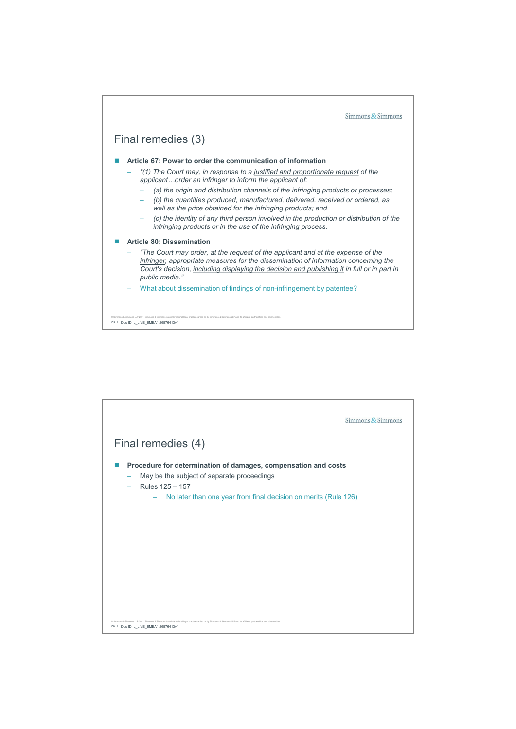![](_page_11_Figure_0.jpeg)

|                                                                                                                                                                                                                   | $Simmons$ & Simmons |
|-------------------------------------------------------------------------------------------------------------------------------------------------------------------------------------------------------------------|---------------------|
| Final remedies (4)                                                                                                                                                                                                |                     |
| Procedure for determination of damages, compensation and costs<br>May be the subject of separate proceedings<br>Rules 125 - 157<br>$ -$                                                                           |                     |
| No later than one year from final decision on merits (Rule 126)<br>$\sim$                                                                                                                                         |                     |
|                                                                                                                                                                                                                   |                     |
|                                                                                                                                                                                                                   |                     |
|                                                                                                                                                                                                                   |                     |
| C Simmons & Simmons LLP 2011, Simmons & Simmons is an international legal practice carried on by Simmons & Simmons LLP and its affiliated partnerships and other entities<br>24 / Doc ID: L LIVE EMEA1:16576413v1 |                     |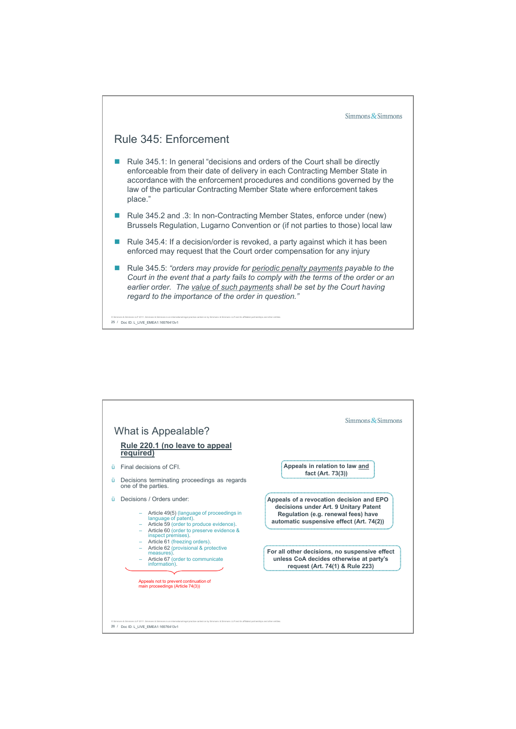![](_page_12_Figure_0.jpeg)

![](_page_12_Figure_1.jpeg)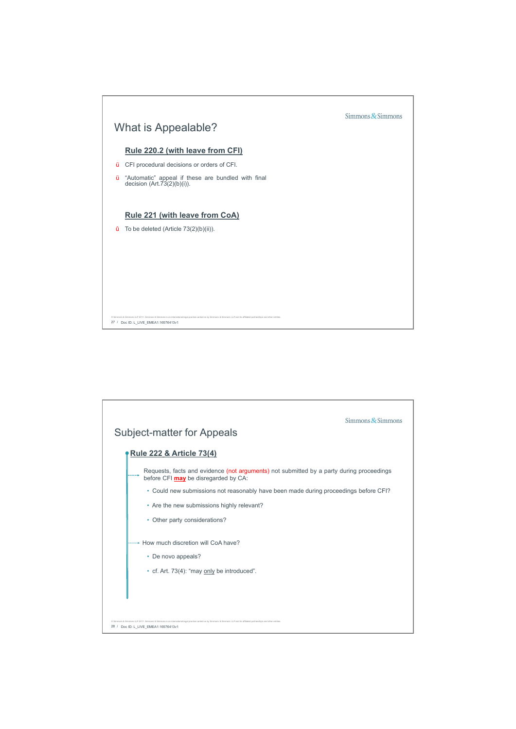![](_page_13_Figure_0.jpeg)

![](_page_13_Figure_1.jpeg)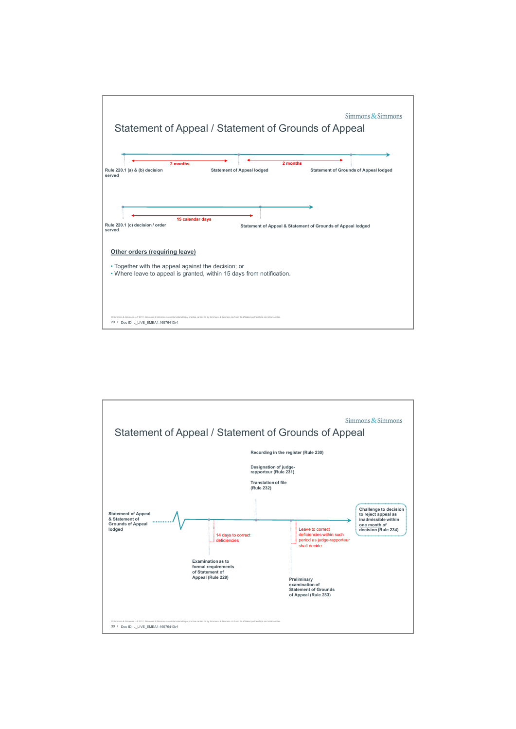![](_page_14_Figure_0.jpeg)

![](_page_14_Figure_1.jpeg)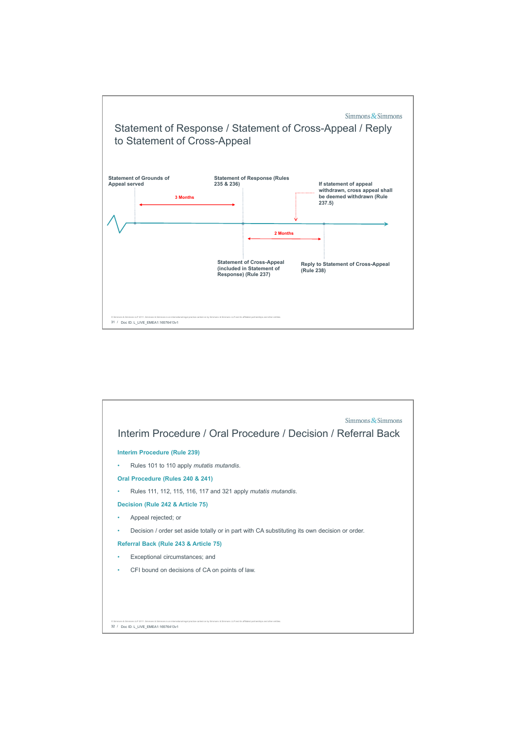![](_page_15_Figure_0.jpeg)

![](_page_15_Figure_1.jpeg)